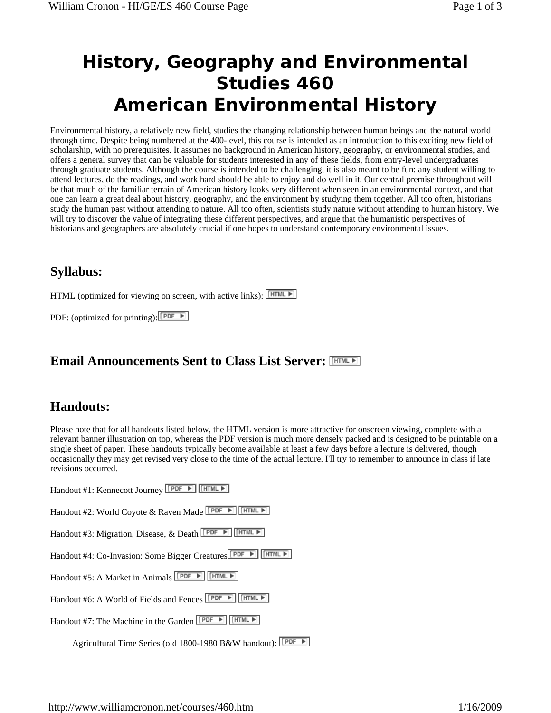# **History, Geography and Environmental Studies 460 American Environmental History**

Environmental history, a relatively new field, studies the changing relationship between human beings and the natural world through time. Despite being numbered at the 400-level, this course is intended as an introduction to this exciting new field of scholarship, with no prerequisites. It assumes no background in American history, geography, or environmental studies, and offers a general survey that can be valuable for students interested in any of these fields, from entry-level undergraduates through graduate students. Although the course is intended to be challenging, it is also meant to be fun: any student willing to attend lectures, do the readings, and work hard should be able to enjoy and do well in it. Our central premise throughout will be that much of the familiar terrain of American history looks very different when seen in an environmental context, and that one can learn a great deal about history, geography, and the environment by studying them together. All too often, historians study the human past without attending to nature. All too often, scientists study nature without attending to human history. We will try to discover the value of integrating these different perspectives, and argue that the humanistic perspectives of historians and geographers are absolutely crucial if one hopes to understand contemporary environmental issues.

### **Syllabus:**

HTML (optimized for viewing on screen, with active links): FITML

PDF: (optimized for printing):  $\boxed{\mathsf{PDF}}$ 

#### **Email Announcements Sent to Class List Server:**

#### **Handouts:**

Please note that for all handouts listed below, the HTML version is more attractive for onscreen viewing, complete with a relevant banner illustration on top, whereas the PDF version is much more densely packed and is designed to be printable on a single sheet of paper. These handouts typically become available at least a few days before a lecture is delivered, though occasionally they may get revised very close to the time of the actual lecture. I'll try to remember to announce in class if late revisions occurred.

| Handout #1: Kennecott Journey [PDF ▶   [HTML ▶                       |
|----------------------------------------------------------------------|
| Handout #2: World Coyote & Raven Made <u>LEDE ▶   HTML ▶</u>         |
| Handout #3: Migration, Disease, & Death <b>PDF F</b> FITML F         |
| HTML F<br>Handout #4: Co-Invasion: Some Bigger Creatures             |
| HTML F<br>Handout #5: A Market in Animals FPDF                       |
| HTML F<br>Handout #6: A World of Fields and Fences <b>[PDF ▶</b> ]   |
| HTML F<br>Handout #7: The Machine in the Garden $\Box$ $\Box$ $\Box$ |
| Agricultural Time Series (old 1800-1980 B&W handout): <b>[PDF</b>    |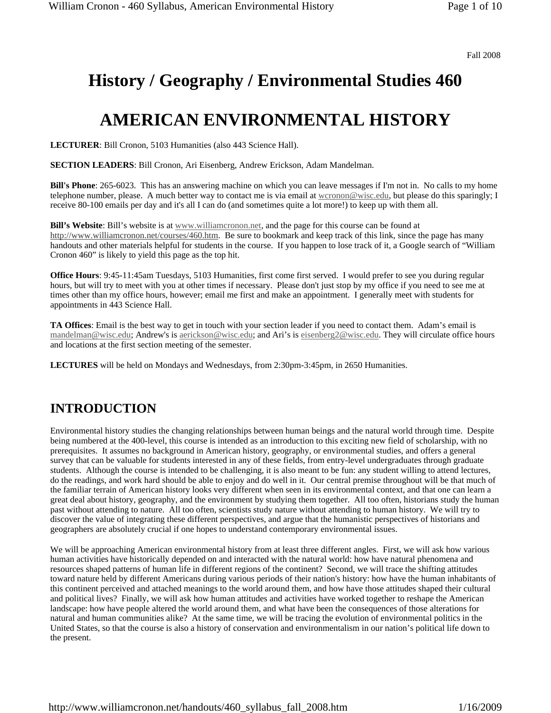Fall 2008

# **History / Geography / Environmental Studies 460**

## **AMERICAN ENVIRONMENTAL HISTORY**

**LECTURER**: Bill Cronon, 5103 Humanities (also 443 Science Hall).

**SECTION LEADERS**: Bill Cronon, Ari Eisenberg, Andrew Erickson, Adam Mandelman.

**Bill's Phone**: 265-6023. This has an answering machine on which you can leave messages if I'm not in. No calls to my home telephone number, please. A much better way to contact me is via email at wcronon@wisc.edu, but please do this sparingly; I receive 80-100 emails per day and it's all I can do (and sometimes quite a lot more!) to keep up with them all.

**Bill's Website**: Bill's website is at www.williamcronon.net, and the page for this course can be found at http://www.williamcronon.net/courses/460.htm. Be sure to bookmark and keep track of this link, since the page has many handouts and other materials helpful for students in the course. If you happen to lose track of it, a Google search of "William Cronon 460" is likely to yield this page as the top hit.

**Office Hours**: 9:45-11:45am Tuesdays, 5103 Humanities, first come first served. I would prefer to see you during regular hours, but will try to meet with you at other times if necessary. Please don't just stop by my office if you need to see me at times other than my office hours, however; email me first and make an appointment. I generally meet with students for appointments in 443 Science Hall.

**TA Offices**: Email is the best way to get in touch with your section leader if you need to contact them. Adam's email is mandelman@wisc.edu; Andrew's is aerickson@wisc.edu; and Ari's is eisenberg2@wisc.edu. They will circulate office hours and locations at the first section meeting of the semester.

**LECTURES** will be held on Mondays and Wednesdays, from 2:30pm-3:45pm, in 2650 Humanities.

### **INTRODUCTION**

Environmental history studies the changing relationships between human beings and the natural world through time. Despite being numbered at the 400-level, this course is intended as an introduction to this exciting new field of scholarship, with no prerequisites. It assumes no background in American history, geography, or environmental studies, and offers a general survey that can be valuable for students interested in any of these fields, from entry-level undergraduates through graduate students. Although the course is intended to be challenging, it is also meant to be fun: any student willing to attend lectures, do the readings, and work hard should be able to enjoy and do well in it. Our central premise throughout will be that much of the familiar terrain of American history looks very different when seen in its environmental context, and that one can learn a great deal about history, geography, and the environment by studying them together. All too often, historians study the human past without attending to nature. All too often, scientists study nature without attending to human history. We will try to discover the value of integrating these different perspectives, and argue that the humanistic perspectives of historians and geographers are absolutely crucial if one hopes to understand contemporary environmental issues.

We will be approaching American environmental history from at least three different angles. First, we will ask how various human activities have historically depended on and interacted with the natural world: how have natural phenomena and resources shaped patterns of human life in different regions of the continent? Second, we will trace the shifting attitudes toward nature held by different Americans during various periods of their nation's history: how have the human inhabitants of this continent perceived and attached meanings to the world around them, and how have those attitudes shaped their cultural and political lives? Finally, we will ask how human attitudes and activities have worked together to reshape the American landscape: how have people altered the world around them, and what have been the consequences of those alterations for natural and human communities alike? At the same time, we will be tracing the evolution of environmental politics in the United States, so that the course is also a history of conservation and environmentalism in our nation's political life down to the present.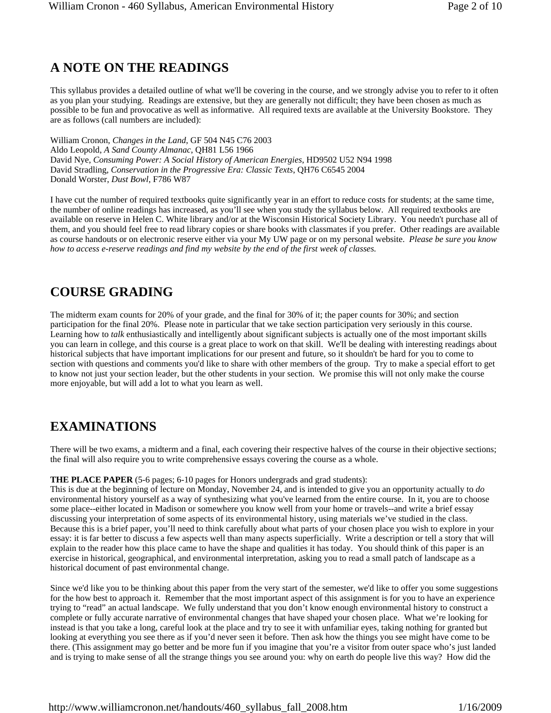#### **A NOTE ON THE READINGS**

This syllabus provides a detailed outline of what we'll be covering in the course, and we strongly advise you to refer to it often as you plan your studying. Readings are extensive, but they are generally not difficult; they have been chosen as much as possible to be fun and provocative as well as informative. All required texts are available at the University Bookstore. They are as follows (call numbers are included):

William Cronon, *Changes in the Land*, GF 504 N45 C76 2003 Aldo Leopold, *A Sand County Almanac*, QH81 L56 1966 David Nye, *Consuming Power: A Social History of American Energies*, HD9502 U52 N94 1998 David Stradling, *Conservation in the Progressive Era: Classic Texts*, QH76 C6545 2004 Donald Worster, *Dust Bowl*, F786 W87

I have cut the number of required textbooks quite significantly year in an effort to reduce costs for students; at the same time, the number of online readings has increased, as you'll see when you study the syllabus below. All required textbooks are available on reserve in Helen C. White library and/or at the Wisconsin Historical Society Library. You needn't purchase all of them, and you should feel free to read library copies or share books with classmates if you prefer. Other readings are available as course handouts or on electronic reserve either via your My UW page or on my personal website. *Please be sure you know how to access e-reserve readings and find my website by the end of the first week of classes.*

#### **COURSE GRADING**

The midterm exam counts for 20% of your grade, and the final for 30% of it; the paper counts for 30%; and section participation for the final 20%. Please note in particular that we take section participation very seriously in this course. Learning how to *talk* enthusiastically and intelligently about significant subjects is actually one of the most important skills you can learn in college, and this course is a great place to work on that skill. We'll be dealing with interesting readings about historical subjects that have important implications for our present and future, so it shouldn't be hard for you to come to section with questions and comments you'd like to share with other members of the group. Try to make a special effort to get to know not just your section leader, but the other students in your section. We promise this will not only make the course more enjoyable, but will add a lot to what you learn as well.

#### **EXAMINATIONS**

There will be two exams, a midterm and a final, each covering their respective halves of the course in their objective sections; the final will also require you to write comprehensive essays covering the course as a whole.

#### **THE PLACE PAPER** (5-6 pages; 6-10 pages for Honors undergrads and grad students):

This is due at the beginning of lecture on Monday, November 24, and is intended to give you an opportunity actually to *do* environmental history yourself as a way of synthesizing what you've learned from the entire course. In it, you are to choose some place--either located in Madison or somewhere you know well from your home or travels--and write a brief essay discussing your interpretation of some aspects of its environmental history, using materials we've studied in the class. Because this is a brief paper, you'll need to think carefully about what parts of your chosen place you wish to explore in your essay: it is far better to discuss a few aspects well than many aspects superficially. Write a description or tell a story that will explain to the reader how this place came to have the shape and qualities it has today. You should think of this paper is an exercise in historical, geographical, and environmental interpretation, asking you to read a small patch of landscape as a historical document of past environmental change.

Since we'd like you to be thinking about this paper from the very start of the semester, we'd like to offer you some suggestions for the how best to approach it. Remember that the most important aspect of this assignment is for you to have an experience trying to "read" an actual landscape. We fully understand that you don't know enough environmental history to construct a complete or fully accurate narrative of environmental changes that have shaped your chosen place. What we're looking for instead is that you take a long, careful look at the place and try to see it with unfamiliar eyes, taking nothing for granted but looking at everything you see there as if you'd never seen it before. Then ask how the things you see might have come to be there. (This assignment may go better and be more fun if you imagine that you're a visitor from outer space who's just landed and is trying to make sense of all the strange things you see around you: why on earth do people live this way? How did the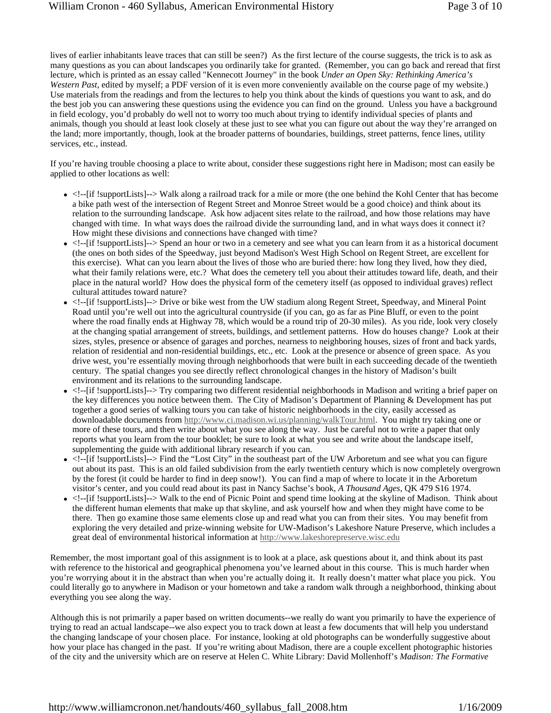lives of earlier inhabitants leave traces that can still be seen?) As the first lecture of the course suggests, the trick is to ask as many questions as you can about landscapes you ordinarily take for granted. (Remember, you can go back and reread that first lecture, which is printed as an essay called "Kennecott Journey" in the book *Under an Open Sky: Rethinking America's Western Past*, edited by myself; a PDF version of it is even more conveniently available on the course page of my website.) Use materials from the readings and from the lectures to help you think about the kinds of questions you want to ask, and do the best job you can answering these questions using the evidence you can find on the ground. Unless you have a background in field ecology, you'd probably do well not to worry too much about trying to identify individual species of plants and animals, though you should at least look closely at these just to see what you can figure out about the way they're arranged on the land; more importantly, though, look at the broader patterns of boundaries, buildings, street patterns, fence lines, utility services, etc., instead.

If you're having trouble choosing a place to write about, consider these suggestions right here in Madison; most can easily be applied to other locations as well:

- $\bullet$  <!--[if !supportLists]--> Walk along a railroad track for a mile or more (the one behind the Kohl Center that has become a bike path west of the intersection of Regent Street and Monroe Street would be a good choice) and think about its relation to the surrounding landscape. Ask how adjacent sites relate to the railroad, and how those relations may have changed with time. In what ways does the railroad divide the surrounding land, and in what ways does it connect it? How might these divisions and connections have changed with time?
- $\bullet$  <!--[if !supportLists]--> Spend an hour or two in a cemetery and see what you can learn from it as a historical document (the ones on both sides of the Speedway, just beyond Madison's West High School on Regent Street, are excellent for this exercise). What can you learn about the lives of those who are buried there: how long they lived, how they died, what their family relations were, etc.? What does the cemetery tell you about their attitudes toward life, death, and their place in the natural world? How does the physical form of the cemetery itself (as opposed to individual graves) reflect cultural attitudes toward nature?
- <!--[if !supportLists]--> Drive or bike west from the UW stadium along Regent Street, Speedway, and Mineral Point Road until you're well out into the agricultural countryside (if you can, go as far as Pine Bluff, or even to the point where the road finally ends at Highway 78, which would be a round trip of 20-30 miles). As you ride, look very closely at the changing spatial arrangement of streets, buildings, and settlement patterns. How do houses change? Look at their sizes, styles, presence or absence of garages and porches, nearness to neighboring houses, sizes of front and back yards, relation of residential and non-residential buildings, etc., etc. Look at the presence or absence of green space. As you drive west, you're essentially moving through neighborhoods that were built in each succeeding decade of the twentieth century. The spatial changes you see directly reflect chronological changes in the history of Madison's built environment and its relations to the surrounding landscape.
- <!--[if !supportLists]--> Try comparing two different residential neighborhoods in Madison and writing a brief paper on the key differences you notice between them. The City of Madison's Department of Planning & Development has put together a good series of walking tours you can take of historic neighborhoods in the city, easily accessed as downloadable documents from http://www.ci.madison.wi.us/planning/walkTour.html. You might try taking one or more of these tours, and then write about what you see along the way. Just be careful not to write a paper that only reports what you learn from the tour booklet; be sure to look at what you see and write about the landscape itself, supplementing the guide with additional library research if you can.
- $\bullet$  <!--[if !supportLists]--> Find the "Lost City" in the southeast part of the UW Arboretum and see what you can figure out about its past. This is an old failed subdivision from the early twentieth century which is now completely overgrown by the forest (it could be harder to find in deep snow!). You can find a map of where to locate it in the Arboretum visitor's center, and you could read about its past in Nancy Sachse's book, *A Thousand Ages*, QK 479 S16 1974.
- <!--[if !supportLists]--> Walk to the end of Picnic Point and spend time looking at the skyline of Madison. Think about the different human elements that make up that skyline, and ask yourself how and when they might have come to be there. Then go examine those same elements close up and read what you can from their sites. You may benefit from exploring the very detailed and prize-winning website for UW-Madison's Lakeshore Nature Preserve, which includes a great deal of environmental historical information at http://www.lakeshorepreserve.wisc.edu

Remember, the most important goal of this assignment is to look at a place, ask questions about it, and think about its past with reference to the historical and geographical phenomena you've learned about in this course. This is much harder when you're worrying about it in the abstract than when you're actually doing it. It really doesn't matter what place you pick. You could literally go to anywhere in Madison or your hometown and take a random walk through a neighborhood, thinking about everything you see along the way.

Although this is not primarily a paper based on written documents--we really do want you primarily to have the experience of trying to read an actual landscape--we also expect you to track down at least a few documents that will help you understand the changing landscape of your chosen place. For instance, looking at old photographs can be wonderfully suggestive about how your place has changed in the past. If you're writing about Madison, there are a couple excellent photographic histories of the city and the university which are on reserve at Helen C. White Library: David Mollenhoff's *Madison: The Formative*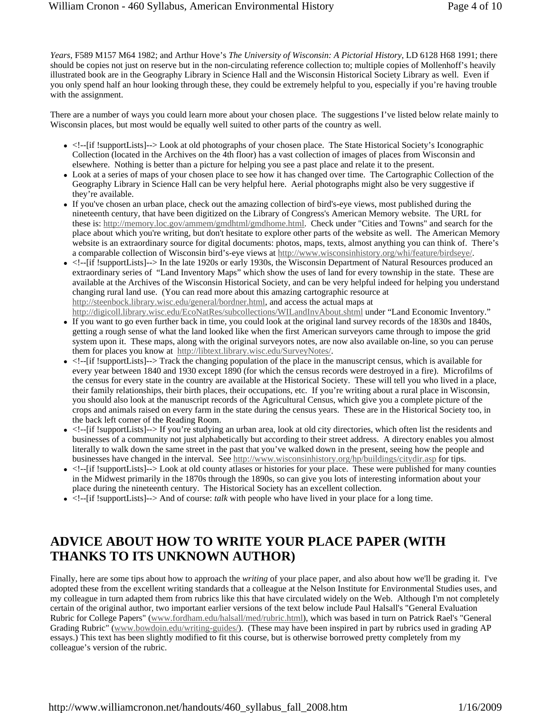*Years*, F589 M157 M64 1982; and Arthur Hove's *The University of Wisconsin: A Pictorial History*, LD 6128 H68 1991; there should be copies not just on reserve but in the non-circulating reference collection to; multiple copies of Mollenhoff's heavily illustrated book are in the Geography Library in Science Hall and the Wisconsin Historical Society Library as well. Even if you only spend half an hour looking through these, they could be extremely helpful to you, especially if you're having trouble with the assignment.

There are a number of ways you could learn more about your chosen place. The suggestions I've listed below relate mainly to Wisconsin places, but most would be equally well suited to other parts of the country as well.

- $\bullet$  <!--[if !supportLists]--> Look at old photographs of your chosen place. The State Historical Society's Iconographic Collection (located in the Archives on the 4th floor) has a vast collection of images of places from Wisconsin and elsewhere. Nothing is better than a picture for helping you see a past place and relate it to the present.
- Look at a series of maps of your chosen place to see how it has changed over time. The Cartographic Collection of the Geography Library in Science Hall can be very helpful here. Aerial photographs might also be very suggestive if they're available.
- If you've chosen an urban place, check out the amazing collection of bird's-eye views, most published during the nineteenth century, that have been digitized on the Library of Congress's American Memory website. The URL for these is: http://memory.loc.gov/ammem/gmdhtml/gmdhome.html. Check under "Cities and Towns" and search for the place about which you're writing, but don't hesitate to explore other parts of the website as well. The American Memory website is an extraordinary source for digital documents: photos, maps, texts, almost anything you can think of. There's a comparable collection of Wisconsin bird's-eye views at http://www.wisconsinhistory.org/whi/feature/birdseye/.
- <!--[if !supportLists]--> In the late 1920s or early 1930s, the Wisconsin Department of Natural Resources produced an extraordinary series of "Land Inventory Maps" which show the uses of land for every township in the state. These are available at the Archives of the Wisconsin Historical Society, and can be very helpful indeed for helping you understand changing rural land use. (You can read more about this amazing cartographic resource at http://steenbock.library.wisc.edu/general/bordner.html, and access the actual maps at
- http://digicoll.library.wisc.edu/EcoNatRes/subcollections/WILandInvAbout.shtml under "Land Economic Inventory." • If you want to go even further back in time, you could look at the original land survey records of the 1830s and 1840s, getting a rough sense of what the land looked like when the first American surveyors came through to impose the grid system upon it. These maps, along with the original surveyors notes, are now also available on-line, so you can peruse them for places you know at http://libtext.library.wisc.edu/SurveyNotes/.
- $\bullet$  <!--[if !supportLists]--> Track the changing population of the place in the manuscript census, which is available for every year between 1840 and 1930 except 1890 (for which the census records were destroyed in a fire). Microfilms of the census for every state in the country are available at the Historical Society. These will tell you who lived in a place, their family relationships, their birth places, their occupations, etc. If you're writing about a rural place in Wisconsin, you should also look at the manuscript records of the Agricultural Census, which give you a complete picture of the crops and animals raised on every farm in the state during the census years. These are in the Historical Society too, in the back left corner of the Reading Room.
- <!--[if !supportLists]--> If you're studying an urban area, look at old city directories, which often list the residents and businesses of a community not just alphabetically but according to their street address. A directory enables you almost literally to walk down the same street in the past that you've walked down in the present, seeing how the people and businesses have changed in the interval. See http://www.wisconsinhistory.org/hp/buildings/citydir.asp for tips.
- <!--[if !supportLists]--> Look at old county atlases or histories for your place. These were published for many counties in the Midwest primarily in the 1870s through the 1890s, so can give you lots of interesting information about your place during the nineteenth century. The Historical Society has an excellent collection.
- $\bullet$  <!--[if !supportLists]--> And of course: *talk* with people who have lived in your place for a long time.

#### **ADVICE ABOUT HOW TO WRITE YOUR PLACE PAPER (WITH THANKS TO ITS UNKNOWN AUTHOR)**

Finally, here are some tips about how to approach the *writing* of your place paper, and also about how we'll be grading it. I've adopted these from the excellent writing standards that a colleague at the Nelson Institute for Environmental Studies uses, and my colleague in turn adapted them from rubrics like this that have circulated widely on the Web. Although I'm not completely certain of the original author, two important earlier versions of the text below include Paul Halsall's "General Evaluation Rubric for College Papers" (www.fordham.edu/halsall/med/rubric.html), which was based in turn on Patrick Rael's "General Grading Rubric" (www.bowdoin.edu/writing-guides/). (These may have been inspired in part by rubrics used in grading AP essays.) This text has been slightly modified to fit this course, but is otherwise borrowed pretty completely from my colleague's version of the rubric.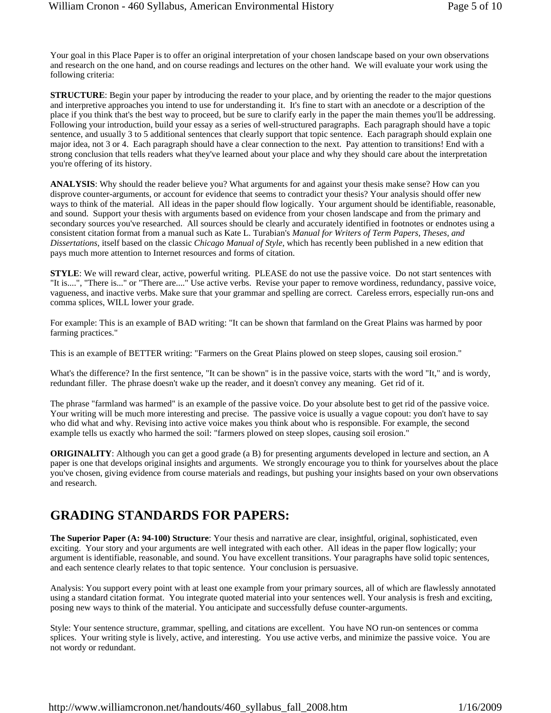Your goal in this Place Paper is to offer an original interpretation of your chosen landscape based on your own observations and research on the one hand, and on course readings and lectures on the other hand. We will evaluate your work using the following criteria:

**STRUCTURE**: Begin your paper by introducing the reader to your place, and by orienting the reader to the major questions and interpretive approaches you intend to use for understanding it. It's fine to start with an anecdote or a description of the place if you think that's the best way to proceed, but be sure to clarify early in the paper the main themes you'll be addressing. Following your introduction, build your essay as a series of well-structured paragraphs. Each paragraph should have a topic sentence, and usually 3 to 5 additional sentences that clearly support that topic sentence. Each paragraph should explain one major idea, not 3 or 4. Each paragraph should have a clear connection to the next. Pay attention to transitions! End with a strong conclusion that tells readers what they've learned about your place and why they should care about the interpretation you're offering of its history.

**ANALYSIS**: Why should the reader believe you? What arguments for and against your thesis make sense? How can you disprove counter-arguments, or account for evidence that seems to contradict your thesis? Your analysis should offer new ways to think of the material. All ideas in the paper should flow logically. Your argument should be identifiable, reasonable, and sound. Support your thesis with arguments based on evidence from your chosen landscape and from the primary and secondary sources you've researched. All sources should be clearly and accurately identified in footnotes or endnotes using a consistent citation format from a manual such as Kate L. Turabian's *Manual for Writers of Term Papers, Theses, and Dissertations*, itself based on the classic *Chicago Manual of Style*, which has recently been published in a new edition that pays much more attention to Internet resources and forms of citation.

**STYLE**: We will reward clear, active, powerful writing. PLEASE do not use the passive voice. Do not start sentences with "It is....", "There is..." or "There are...." Use active verbs. Revise your paper to remove wordiness, redundancy, passive voice, vagueness, and inactive verbs. Make sure that your grammar and spelling are correct. Careless errors, especially run-ons and comma splices, WILL lower your grade.

For example: This is an example of BAD writing: "It can be shown that farmland on the Great Plains was harmed by poor farming practices."

This is an example of BETTER writing: "Farmers on the Great Plains plowed on steep slopes, causing soil erosion."

What's the difference? In the first sentence, "It can be shown" is in the passive voice, starts with the word "It," and is wordy, redundant filler. The phrase doesn't wake up the reader, and it doesn't convey any meaning. Get rid of it.

The phrase "farmland was harmed" is an example of the passive voice. Do your absolute best to get rid of the passive voice. Your writing will be much more interesting and precise. The passive voice is usually a vague copout: you don't have to say who did what and why. Revising into active voice makes you think about who is responsible. For example, the second example tells us exactly who harmed the soil: "farmers plowed on steep slopes, causing soil erosion."

**ORIGINALITY:** Although you can get a good grade (a B) for presenting arguments developed in lecture and section, an A paper is one that develops original insights and arguments. We strongly encourage you to think for yourselves about the place you've chosen, giving evidence from course materials and readings, but pushing your insights based on your own observations and research.

#### **GRADING STANDARDS FOR PAPERS:**

**The Superior Paper (A: 94-100) Structure**: Your thesis and narrative are clear, insightful, original, sophisticated, even exciting. Your story and your arguments are well integrated with each other. All ideas in the paper flow logically; your argument is identifiable, reasonable, and sound. You have excellent transitions. Your paragraphs have solid topic sentences, and each sentence clearly relates to that topic sentence. Your conclusion is persuasive.

Analysis: You support every point with at least one example from your primary sources, all of which are flawlessly annotated using a standard citation format. You integrate quoted material into your sentences well. Your analysis is fresh and exciting, posing new ways to think of the material. You anticipate and successfully defuse counter-arguments.

Style: Your sentence structure, grammar, spelling, and citations are excellent. You have NO run-on sentences or comma splices. Your writing style is lively, active, and interesting. You use active verbs, and minimize the passive voice. You are not wordy or redundant.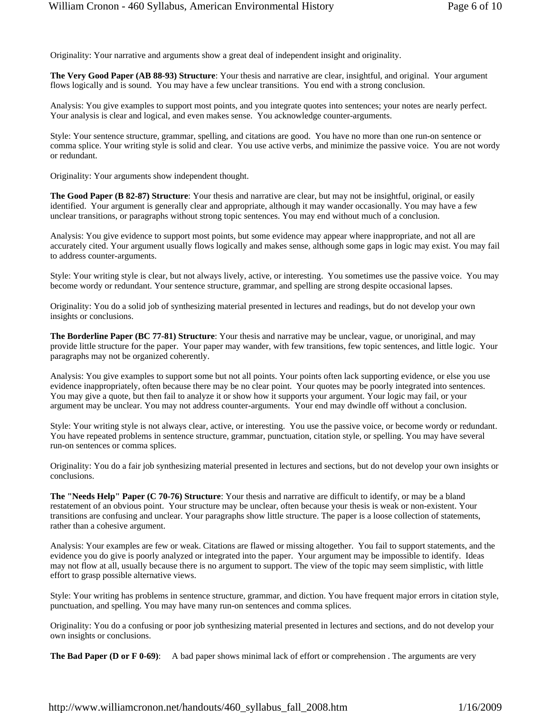Originality: Your narrative and arguments show a great deal of independent insight and originality.

**The Very Good Paper (AB 88-93) Structure**: Your thesis and narrative are clear, insightful, and original. Your argument flows logically and is sound. You may have a few unclear transitions. You end with a strong conclusion.

Analysis: You give examples to support most points, and you integrate quotes into sentences; your notes are nearly perfect. Your analysis is clear and logical, and even makes sense. You acknowledge counter-arguments.

Style: Your sentence structure, grammar, spelling, and citations are good. You have no more than one run-on sentence or comma splice. Your writing style is solid and clear. You use active verbs, and minimize the passive voice. You are not wordy or redundant.

Originality: Your arguments show independent thought.

**The Good Paper (B 82-87) Structure**: Your thesis and narrative are clear, but may not be insightful, original, or easily identified. Your argument is generally clear and appropriate, although it may wander occasionally. You may have a few unclear transitions, or paragraphs without strong topic sentences. You may end without much of a conclusion.

Analysis: You give evidence to support most points, but some evidence may appear where inappropriate, and not all are accurately cited. Your argument usually flows logically and makes sense, although some gaps in logic may exist. You may fail to address counter-arguments.

Style: Your writing style is clear, but not always lively, active, or interesting. You sometimes use the passive voice. You may become wordy or redundant. Your sentence structure, grammar, and spelling are strong despite occasional lapses.

Originality: You do a solid job of synthesizing material presented in lectures and readings, but do not develop your own insights or conclusions.

**The Borderline Paper (BC 77-81) Structure**: Your thesis and narrative may be unclear, vague, or unoriginal, and may provide little structure for the paper. Your paper may wander, with few transitions, few topic sentences, and little logic. Your paragraphs may not be organized coherently.

Analysis: You give examples to support some but not all points. Your points often lack supporting evidence, or else you use evidence inappropriately, often because there may be no clear point. Your quotes may be poorly integrated into sentences. You may give a quote, but then fail to analyze it or show how it supports your argument. Your logic may fail, or your argument may be unclear. You may not address counter-arguments. Your end may dwindle off without a conclusion.

Style: Your writing style is not always clear, active, or interesting. You use the passive voice, or become wordy or redundant. You have repeated problems in sentence structure, grammar, punctuation, citation style, or spelling. You may have several run-on sentences or comma splices.

Originality: You do a fair job synthesizing material presented in lectures and sections, but do not develop your own insights or conclusions.

**The "Needs Help" Paper (C 70-76) Structure**: Your thesis and narrative are difficult to identify, or may be a bland restatement of an obvious point. Your structure may be unclear, often because your thesis is weak or non-existent. Your transitions are confusing and unclear. Your paragraphs show little structure. The paper is a loose collection of statements, rather than a cohesive argument.

Analysis: Your examples are few or weak. Citations are flawed or missing altogether. You fail to support statements, and the evidence you do give is poorly analyzed or integrated into the paper. Your argument may be impossible to identify. Ideas may not flow at all, usually because there is no argument to support. The view of the topic may seem simplistic, with little effort to grasp possible alternative views.

Style: Your writing has problems in sentence structure, grammar, and diction. You have frequent major errors in citation style, punctuation, and spelling. You may have many run-on sentences and comma splices.

Originality: You do a confusing or poor job synthesizing material presented in lectures and sections, and do not develop your own insights or conclusions.

**The Bad Paper (D or F 0-69):** A bad paper shows minimal lack of effort or comprehension. The arguments are very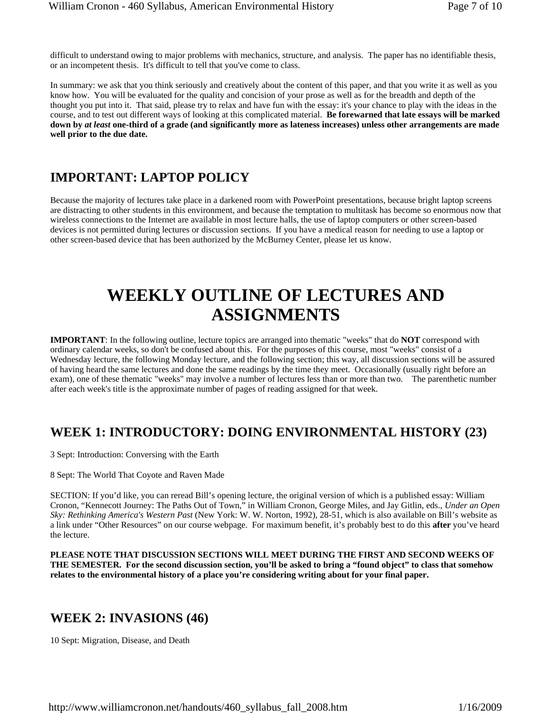difficult to understand owing to major problems with mechanics, structure, and analysis. The paper has no identifiable thesis, or an incompetent thesis. It's difficult to tell that you've come to class.

In summary: we ask that you think seriously and creatively about the content of this paper, and that you write it as well as you know how. You will be evaluated for the quality and concision of your prose as well as for the breadth and depth of the thought you put into it. That said, please try to relax and have fun with the essay: it's your chance to play with the ideas in the course, and to test out different ways of looking at this complicated material. **Be forewarned that late essays will be marked down by** *at least* **one-third of a grade (and significantly more as lateness increases) unless other arrangements are made well prior to the due date.** 

#### **IMPORTANT: LAPTOP POLICY**

Because the majority of lectures take place in a darkened room with PowerPoint presentations, because bright laptop screens are distracting to other students in this environment, and because the temptation to multitask has become so enormous now that wireless connections to the Internet are available in most lecture halls, the use of laptop computers or other screen-based devices is not permitted during lectures or discussion sections. If you have a medical reason for needing to use a laptop or other screen-based device that has been authorized by the McBurney Center, please let us know.

# **WEEKLY OUTLINE OF LECTURES AND ASSIGNMENTS**

**IMPORTANT**: In the following outline, lecture topics are arranged into thematic "weeks" that do **NOT** correspond with ordinary calendar weeks, so don't be confused about this. For the purposes of this course, most "weeks" consist of a Wednesday lecture, the following Monday lecture, and the following section; this way, all discussion sections will be assured of having heard the same lectures and done the same readings by the time they meet. Occasionally (usually right before an exam), one of these thematic "weeks" may involve a number of lectures less than or more than two. The parenthetic number after each week's title is the approximate number of pages of reading assigned for that week.

### **WEEK 1: INTRODUCTORY: DOING ENVIRONMENTAL HISTORY (23)**

3 Sept: Introduction: Conversing with the Earth

8 Sept: The World That Coyote and Raven Made

SECTION: If you'd like, you can reread Bill's opening lecture, the original version of which is a published essay: William Cronon, "Kennecott Journey: The Paths Out of Town," in William Cronon, George Miles, and Jay Gitlin, eds., *Under an Open Sky: Rethinking America's Western Past* (New York: W. W. Norton, 1992), 28-51, which is also available on Bill's website as a link under "Other Resources" on our course webpage. For maximum benefit, it's probably best to do this **after** you've heard the lecture.

**PLEASE NOTE THAT DISCUSSION SECTIONS WILL MEET DURING THE FIRST AND SECOND WEEKS OF THE SEMESTER. For the second discussion section, you'll be asked to bring a "found object" to class that somehow relates to the environmental history of a place you're considering writing about for your final paper.**

#### **WEEK 2: INVASIONS (46)**

10 Sept: Migration, Disease, and Death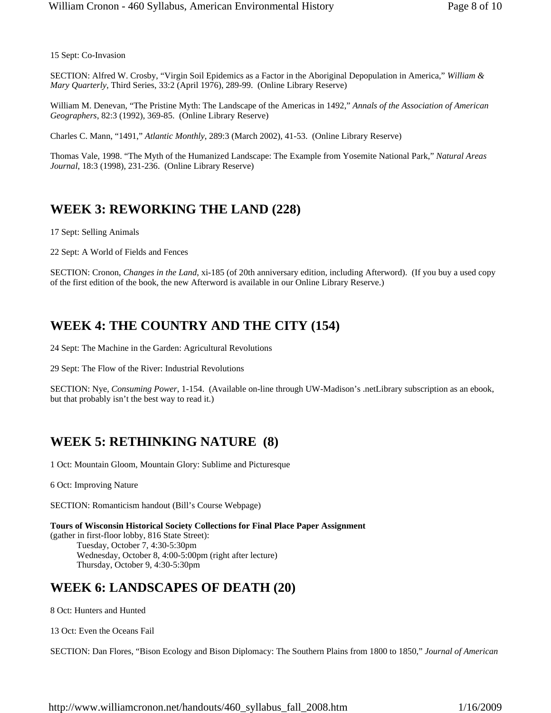15 Sept: Co-Invasion

SECTION: Alfred W. Crosby, "Virgin Soil Epidemics as a Factor in the Aboriginal Depopulation in America," *William & Mary Quarterly*, Third Series, 33:2 (April 1976), 289-99. (Online Library Reserve)

William M. Denevan, "The Pristine Myth: The Landscape of the Americas in 1492," *Annals of the Association of American Geographers*, 82:3 (1992), 369-85. (Online Library Reserve)

Charles C. Mann, "1491," *Atlantic Monthly*, 289:3 (March 2002), 41-53. (Online Library Reserve)

Thomas Vale, 1998. "The Myth of the Humanized Landscape: The Example from Yosemite National Park," *Natural Areas Journal*, 18:3 (1998), 231-236. (Online Library Reserve)

#### **WEEK 3: REWORKING THE LAND (228)**

17 Sept: Selling Animals

22 Sept: A World of Fields and Fences

SECTION: Cronon, *Changes in the Land*, xi-185 (of 20th anniversary edition, including Afterword). (If you buy a used copy of the first edition of the book, the new Afterword is available in our Online Library Reserve.)

#### **WEEK 4: THE COUNTRY AND THE CITY (154)**

24 Sept: The Machine in the Garden: Agricultural Revolutions

29 Sept: The Flow of the River: Industrial Revolutions

SECTION: Nye, *Consuming Power*, 1-154. (Available on-line through UW-Madison's .netLibrary subscription as an ebook, but that probably isn't the best way to read it.)

### **WEEK 5: RETHINKING NATURE (8)**

1 Oct: Mountain Gloom, Mountain Glory: Sublime and Picturesque

6 Oct: Improving Nature

SECTION: Romanticism handout (Bill's Course Webpage)

**Tours of Wisconsin Historical Society Collections for Final Place Paper Assignment** (gather in first-floor lobby, 816 State Street): Tuesday, October 7, 4:30-5:30pm Wednesday, October 8, 4:00-5:00pm (right after lecture) Thursday, October 9, 4:30-5:30pm

#### **WEEK 6: LANDSCAPES OF DEATH (20)**

8 Oct: Hunters and Hunted

13 Oct: Even the Oceans Fail

SECTION: Dan Flores, "Bison Ecology and Bison Diplomacy: The Southern Plains from 1800 to 1850," *Journal of American* 

http://www.williamcronon.net/handouts/460\_syllabus\_fall\_2008.htm 1/16/2009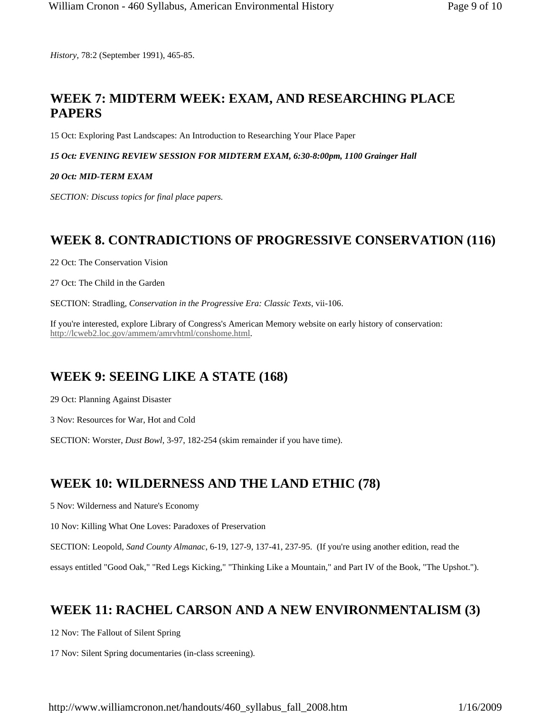*History*, 78:2 (September 1991), 465-85.

### **WEEK 7: MIDTERM WEEK: EXAM, AND RESEARCHING PLACE PAPERS**

15 Oct: Exploring Past Landscapes: An Introduction to Researching Your Place Paper

*15 Oct: EVENING REVIEW SESSION FOR MIDTERM EXAM, 6:30-8:00pm, 1100 Grainger Hall*

#### *20 Oct: MID-TERM EXAM*

*SECTION: Discuss topics for final place papers.*

### **WEEK 8. CONTRADICTIONS OF PROGRESSIVE CONSERVATION (116)**

22 Oct: The Conservation Vision

27 Oct: The Child in the Garden

SECTION: Stradling, *Conservation in the Progressive Era: Classic Texts*, vii-106.

If you're interested, explore Library of Congress's American Memory website on early history of conservation: http://lcweb2.loc.gov/ammem/amrvhtml/conshome.html.

## **WEEK 9: SEEING LIKE A STATE (168)**

29 Oct: Planning Against Disaster

3 Nov: Resources for War, Hot and Cold

SECTION: Worster, *Dust Bowl*, 3-97, 182-254 (skim remainder if you have time).

### **WEEK 10: WILDERNESS AND THE LAND ETHIC (78)**

5 Nov: Wilderness and Nature's Economy

10 Nov: Killing What One Loves: Paradoxes of Preservation

SECTION: Leopold, *Sand County Almanac*, 6-19, 127-9, 137-41, 237-95. (If you're using another edition, read the

essays entitled "Good Oak," "Red Legs Kicking," "Thinking Like a Mountain," and Part IV of the Book, "The Upshot.").

## **WEEK 11: RACHEL CARSON AND A NEW ENVIRONMENTALISM (3)**

12 Nov: The Fallout of Silent Spring

17 Nov: Silent Spring documentaries (in-class screening).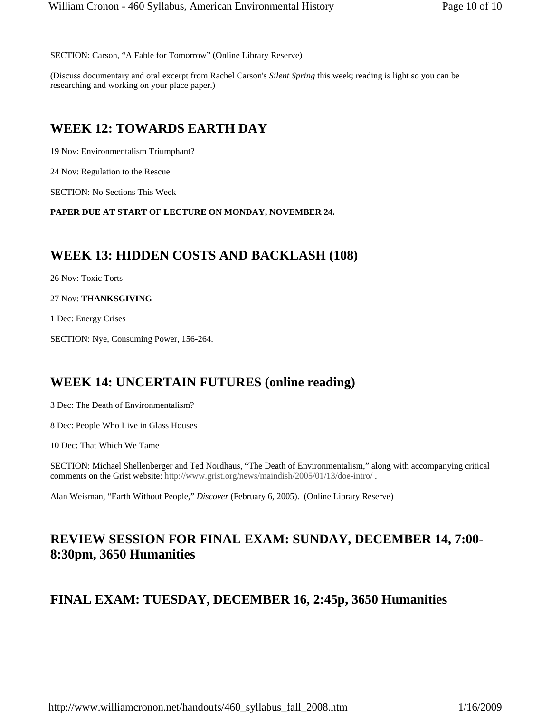SECTION: Carson, "A Fable for Tomorrow" (Online Library Reserve)

(Discuss documentary and oral excerpt from Rachel Carson's *Silent Spring* this week; reading is light so you can be researching and working on your place paper.)

#### **WEEK 12: TOWARDS EARTH DAY**

19 Nov: Environmentalism Triumphant?

24 Nov: Regulation to the Rescue

SECTION: No Sections This Week

**PAPER DUE AT START OF LECTURE ON MONDAY, NOVEMBER 24.**

#### **WEEK 13: HIDDEN COSTS AND BACKLASH (108)**

26 Nov: Toxic Torts

27 Nov: **THANKSGIVING**

1 Dec: Energy Crises

SECTION: Nye, Consuming Power, 156-264.

#### **WEEK 14: UNCERTAIN FUTURES (online reading)**

3 Dec: The Death of Environmentalism?

8 Dec: People Who Live in Glass Houses

10 Dec: That Which We Tame

SECTION: Michael Shellenberger and Ted Nordhaus, "The Death of Environmentalism," along with accompanying critical comments on the Grist website: http://www.grist.org/news/maindish/2005/01/13/doe-intro/.

Alan Weisman, "Earth Without People," *Discover* (February 6, 2005). (Online Library Reserve)

#### **REVIEW SESSION FOR FINAL EXAM: SUNDAY, DECEMBER 14, 7:00- 8:30pm, 3650 Humanities**

#### **FINAL EXAM: TUESDAY, DECEMBER 16, 2:45p, 3650 Humanities**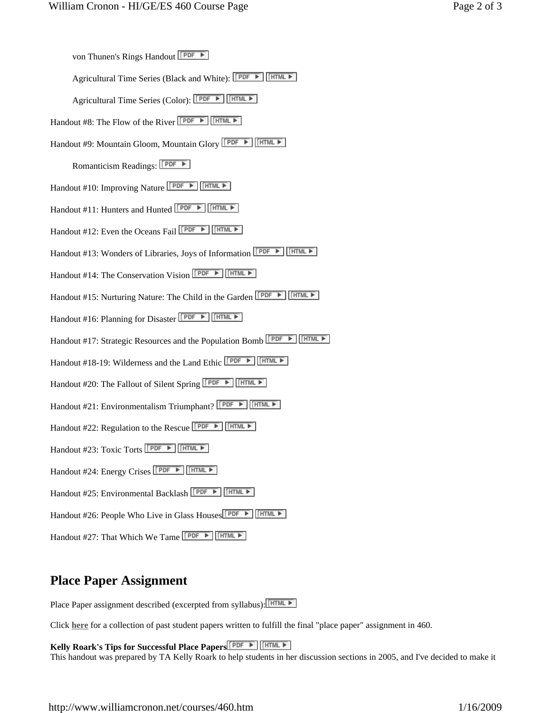Agricultural Time Series (Black and White): PDF F FINE

Agricultural Time Series (Color): PDF ► FIME F

Handout #8: The Flow of the River  $\sqrt{\frac{\text{PDF}}{\text{OPT}} \cdot \text{HTML}}$ 

Handout #9: Mountain Gloom, Mountain Glory **FEPLE HERMLE** 

Romanticism Readings: **PDF** ►

Handout #10: Improving Nature **PDF FIGURE** 

Handout #11: Hunters and Hunted **FILE FILES** 

Handout #12: Even the Oceans Fail **PDF ▶** FINE ▶

Handout #13: Wonders of Libraries, Joys of Information **FEDEL FINE FILE** 

Handout #14: The Conservation Vision **FEE** 

Handout #15: Nurturing Nature: The Child in the Garden **[PDF B]** [HTML B]

Handout #16: Planning for Disaster FEE FEE

Handout #17: Strategic Resources and the Population Bomb **PDF F** [HTML F]

Handout #18-19: Wilderness and the Land Ethic **PDF F** 

Handout #20: The Fallout of Silent Spring **PDF FI** [HTML F]

Handout #21: Environmentalism Triumphant? **FECALL FINCE** 

Handout #22: Regulation to the Rescue **FOR A FINIL A** 

Handout #23: Toxic Torts **PDF ▶ FINE FINE** 

Handout #24: Energy Crises PDF ► HTML ►

Handout #25: Environmental Backlash **FRISH FINE FINE FINE FI** 

Handout #26: People Who Live in Glass Houses **PDF ▶ FINE ▶** 

Handout #27: That Which We Tame **FEP F** FHTML **F** 

#### **Place Paper Assignment**

Place Paper assignment described (excerpted from syllabus): FITML

Click **here** for a collection of past student papers written to fulfill the final "place paper" assignment in 460.

**Kelly Roark's Tips for Successful Place Papers**

This handout was prepared by TA Kelly Roark to help students in her discussion sections in 2005, and I've decided to make it